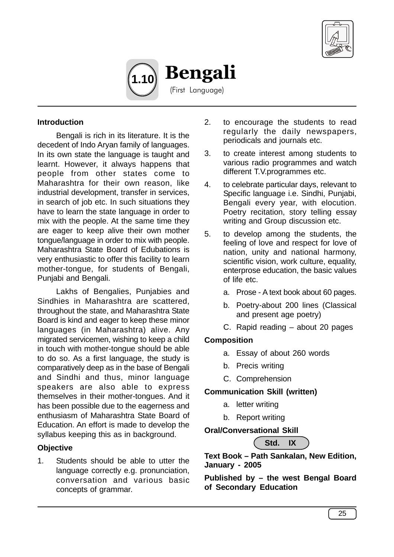



#### **Introduction**

Bengali is rich in its literature. It is the decedent of Indo Aryan family of languages. In its own state the language is taught and learnt. However, it always happens that people from other states come to Maharashtra for their own reason, like industrial development, transfer in services, in search of job etc. In such situations they have to learn the state language in order to mix with the people. At the same time they are eager to keep alive their own mother tongue/language in order to mix with people. Maharashtra State Board of Edubations is very enthusiastic to offer this facility to learn mother-tongue, for students of Bengali, Punjabi and Bengali.

Lakhs of Bengalies, Punjabies and Sindhies in Maharashtra are scattered, throughout the state, and Maharashtra State Board is kind and eager to keep these minor languages (in Maharashtra) alive. Any migrated servicemen, wishing to keep a child in touch with mother-tongue should be able to do so. As a first language, the study is comparatively deep as in the base of Bengali and Sindhi and thus, minor language speakers are also able to express themselves in their mother-tongues. And it has been possible due to the eagerness and enthusiasm of Maharashtra State Board of Education. An effort is made to develop the syllabus keeping this as in background.

#### **Objective**

1. Students should be able to utter the language correctly e.g. pronunciation, conversation and various basic concepts of grammar.

- 2. to encourage the students to read regularly the daily newspapers, periodicals and journals etc.
- 3. to create interest among students to various radio programmes and watch different T.V.programmes etc.
- 4. to celebrate particular days, relevant to Specific language i.e. Sindhi, Punjabi, Bengali every year, with elocution. Poetry recitation, story telling essay writing and Group discussion etc.
- 5. to develop among the students, the feeling of love and respect for love of nation, unity and national harmony, scientific vision, work culture, equality, enterprose education, the basic values of life etc.
	- a. Prose A text book about 60 pages.
	- b. Poetry-about 200 lines (Classical and present age poetry)
	- C. Rapid reading about 20 pages

#### **Composition**

- a. Essay of about 260 words
- b. Precis writing
- C. Comprehension

#### **Communication Skill (written)**

- a. letter writing
- b. Report writing

#### **Oral/Conversational Skill**

**Std. IX**

**Text Book – Path Sankalan, New Edition, January - 2005**

**Published by – the west Bengal Board of Secondary Education**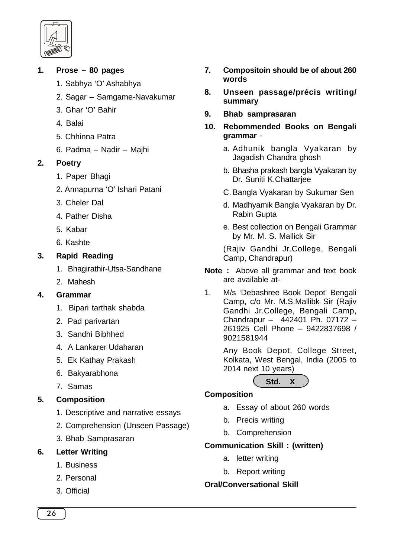

### **1. Prose – 80 pages**

- 1. Sabhya 'O' Ashabhya
- 2. Sagar Samgame-Navakumar
- 3. Ghar 'O' Bahir
- 4. Balai
- 5. Chhinna Patra
- 6. Padma Nadir Majhi

### **2. Poetry**

- 1. Paper Bhagi
- 2. Annapurna 'O' Ishari Patani
- 3. Cheler Dal
- 4. Pather Disha
- 5. Kabar
- 6. Kashte

# **3. Rapid Reading**

- 1. Bhagirathir-Utsa-Sandhane
- 2. Mahesh

# **4. Grammar**

- 1. Bipari tarthak shabda
- 2. Pad parivartan
- 3. Sandhi Bibhhed
- 4. A Lankarer Udaharan
- 5. Ek Kathay Prakash
- 6. Bakyarabhona
- 7. Samas

# **5. Composition**

- 1. Descriptive and narrative essays
- 2. Comprehension (Unseen Passage)
- 3. Bhab Samprasaran

# **6. Letter Writing**

- 1. Business
- 2. Personal
- 3. Official
- **7. Compositoin should be of about 260 words**
- **8. Unseen passage/précis writing/ summary**
- **9. Bhab samprasaran**
- **10. Rebommended Books on Bengali grammar** 
	- a. Adhunik bangla Vyakaran by Jagadish Chandra ghosh
	- b. Bhasha prakash bangla Vyakaran by Dr. Suniti K.Chattarjee
	- C. Bangla Vyakaran by Sukumar Sen
	- d. Madhyamik Bangla Vyakaran by Dr. Rabin Gupta
	- e. Best collection on Bengali Grammar by Mr. M. S. Mallick Sir

(Rajiv Gandhi Jr.College, Bengali Camp, Chandrapur)

- **Note :** Above all grammar and text book are available at-
- 1. M/s 'Debashree Book Depot' Bengali Camp, c/o Mr. M.S.Mallibk Sir (Rajiv Gandhi Jr.College, Bengali Camp, Chandrapur – 442401 Ph. 07172 – 261925 Cell Phone – 9422837698 / 9021581944

Any Book Depot, College Street, Kolkata, West Bengal, India (2005 to 2014 next 10 years)



#### **Composition**

- a. Essay of about 260 words
- b. Precis writing
- b. Comprehension

# **Communication Skill : (written)**

- a. letter writing
- b. Report writing

# **Oral/Conversational Skill**